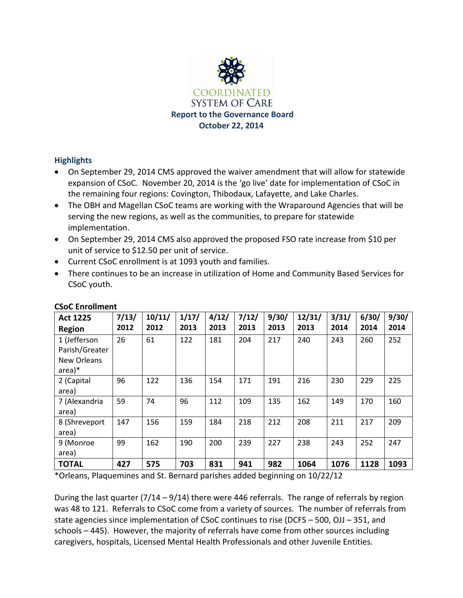

### **Highlights**

- On September 29, 2014 CMS approved the waiver amendment that will allow for statewide expansion of CSoC. November 20, 2014 is the 'go live' date for implementation of CSoC in the remaining four regions: Covington, Thibodaux, Lafayette, and Lake Charles.
- The OBH and Magellan CSoC teams are working with the Wraparound Agencies that will be serving the new regions, as well as the communities, to prepare for statewide implementation.
- On September 29, 2014 CMS also approved the proposed FSO rate increase from \$10 per unit of service to \$12.50 per unit of service.
- Current CSoC enrollment is at 1093 youth and families.
- There continues to be an increase in utilization of Home and Community Based Services for CSoC youth.

| <b>Act 1225</b>                                           | 7/13/ | 10/11/ | 1/17/ | 4/12/ | 7/12/ | 9/30/ | 12/31/ | 3/31/ | 6/30/ | 9/30/ |
|-----------------------------------------------------------|-------|--------|-------|-------|-------|-------|--------|-------|-------|-------|
| <b>Region</b>                                             | 2012  | 2012   | 2013  | 2013  | 2013  | 2013  | 2013   | 2014  | 2014  | 2014  |
| 1 (Jefferson<br>Parish/Greater<br>New Orleans<br>$area)*$ | 26    | 61     | 122   | 181   | 204   | 217   | 240    | 243   | 260   | 252   |
| 2 (Capital<br>area)                                       | 96    | 122    | 136   | 154   | 171   | 191   | 216    | 230   | 229   | 225   |
| 7 (Alexandria<br>area)                                    | 59    | 74     | 96    | 112   | 109   | 135   | 162    | 149   | 170   | 160   |
| 8 (Shreveport<br>area)                                    | 147   | 156    | 159   | 184   | 218   | 212   | 208    | 211   | 217   | 209   |
| 9 (Monroe<br>area)                                        | 99    | 162    | 190   | 200   | 239   | 227   | 238    | 243   | 252   | 247   |
| <b>TOTAL</b>                                              | 427   | 575    | 703   | 831   | 941   | 982   | 1064   | 1076  | 1128  | 1093  |

### **CSoC Enrollment**

\*Orleans, Plaquemines and St. Bernard parishes added beginning on 10/22/12

During the last quarter (7/14 – 9/14) there were 446 referrals. The range of referrals by region was 48 to 121. Referrals to CSoC come from a variety of sources. The number of referrals from state agencies since implementation of CSoC continues to rise (DCFS – 500, OJJ – 351, and schools – 445). However, the majority of referrals have come from other sources including caregivers, hospitals, Licensed Mental Health Professionals and other Juvenile Entities.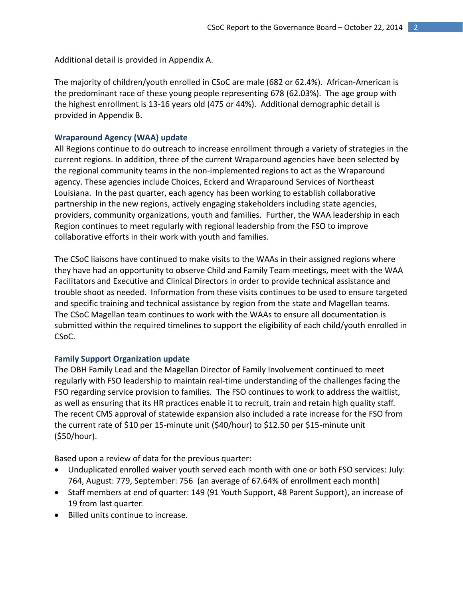Additional detail is provided in Appendix A.

The majority of children/youth enrolled in CSoC are male (682 or 62.4%). African-American is the predominant race of these young people representing 678 (62.03%). The age group with the highest enrollment is 13-16 years old (475 or 44%). Additional demographic detail is provided in Appendix B.

### **Wraparound Agency (WAA) update**

All Regions continue to do outreach to increase enrollment through a variety of strategies in the current regions. In addition, three of the current Wraparound agencies have been selected by the regional community teams in the non-implemented regions to act as the Wraparound agency. These agencies include Choices, Eckerd and Wraparound Services of Northeast Louisiana. In the past quarter, each agency has been working to establish collaborative partnership in the new regions, actively engaging stakeholders including state agencies, providers, community organizations, youth and families. Further, the WAA leadership in each Region continues to meet regularly with regional leadership from the FSO to improve collaborative efforts in their work with youth and families.

The CSoC liaisons have continued to make visits to the WAAs in their assigned regions where they have had an opportunity to observe Child and Family Team meetings, meet with the WAA Facilitators and Executive and Clinical Directors in order to provide technical assistance and trouble shoot as needed. Information from these visits continues to be used to ensure targeted and specific training and technical assistance by region from the state and Magellan teams. The CSoC Magellan team continues to work with the WAAs to ensure all documentation is submitted within the required timelines to support the eligibility of each child/youth enrolled in CSoC.

#### **Family Support Organization update**

The OBH Family Lead and the Magellan Director of Family Involvement continued to meet regularly with FSO leadership to maintain real-time understanding of the challenges facing the FSO regarding service provision to families. The FSO continues to work to address the waitlist, as well as ensuring that its HR practices enable it to recruit, train and retain high quality staff. The recent CMS approval of statewide expansion also included a rate increase for the FSO from the current rate of \$10 per 15-minute unit (\$40/hour) to \$12.50 per \$15-minute unit (\$50/hour).

Based upon a review of data for the previous quarter:

- Unduplicated enrolled waiver youth served each month with one or both FSO services: July: 764, August: 779, September: 756 (an average of 67.64% of enrollment each month)
- Staff members at end of quarter: 149 (91 Youth Support, 48 Parent Support), an increase of 19 from last quarter.
- Billed units continue to increase.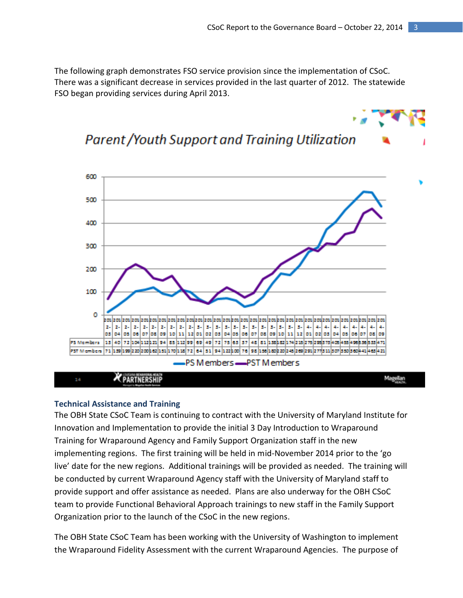The following graph demonstrates FSO service provision since the implementation of CSoC. There was a significant decrease in services provided in the last quarter of 2012. The statewide FSO began providing services during April 2013.

## **Parent / Youth Support and Training Utilization**



#### **Technical Assistance and Training**

The OBH State CSoC Team is continuing to contract with the University of Maryland Institute for Innovation and Implementation to provide the initial 3 Day Introduction to Wraparound Training for Wraparound Agency and Family Support Organization staff in the new implementing regions. The first training will be held in mid-November 2014 prior to the 'go live' date for the new regions. Additional trainings will be provided as needed. The training will be conducted by current Wraparound Agency staff with the University of Maryland staff to provide support and offer assistance as needed. Plans are also underway for the OBH CSoC team to provide Functional Behavioral Approach trainings to new staff in the Family Support Organization prior to the launch of the CSoC in the new regions.

The OBH State CSoC Team has been working with the University of Washington to implement the Wraparound Fidelity Assessment with the current Wraparound Agencies. The purpose of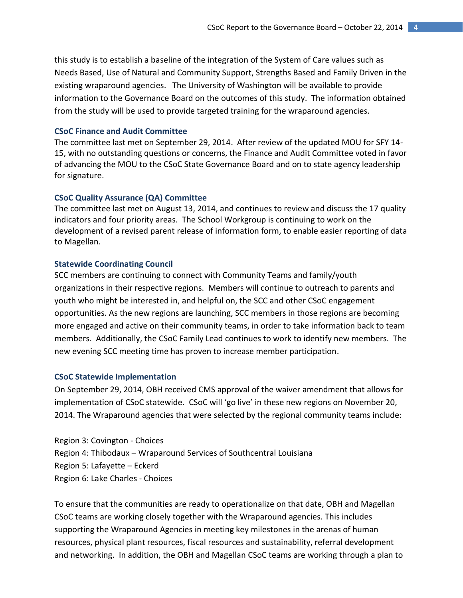this study is to establish a baseline of the integration of the System of Care values such as Needs Based, Use of Natural and Community Support, Strengths Based and Family Driven in the existing wraparound agencies. The University of Washington will be available to provide information to the Governance Board on the outcomes of this study. The information obtained from the study will be used to provide targeted training for the wraparound agencies.

#### **CSoC Finance and Audit Committee**

The committee last met on September 29, 2014. After review of the updated MOU for SFY 14- 15, with no outstanding questions or concerns, the Finance and Audit Committee voted in favor of advancing the MOU to the CSoC State Governance Board and on to state agency leadership for signature.

#### **CSoC Quality Assurance (QA) Committee**

The committee last met on August 13, 2014, and continues to review and discuss the 17 quality indicators and four priority areas. The School Workgroup is continuing to work on the development of a revised parent release of information form, to enable easier reporting of data to Magellan.

#### **Statewide Coordinating Council**

SCC members are continuing to connect with Community Teams and family/youth organizations in their respective regions. Members will continue to outreach to parents and youth who might be interested in, and helpful on, the SCC and other CSoC engagement opportunities. As the new regions are launching, SCC members in those regions are becoming more engaged and active on their community teams, in order to take information back to team members. Additionally, the CSoC Family Lead continues to work to identify new members. The new evening SCC meeting time has proven to increase member participation.

#### **CSoC Statewide Implementation**

On September 29, 2014, OBH received CMS approval of the waiver amendment that allows for implementation of CSoC statewide. CSoC will 'go live' in these new regions on November 20, 2014. The Wraparound agencies that were selected by the regional community teams include:

Region 3: Covington - Choices Region 4: Thibodaux – Wraparound Services of Southcentral Louisiana Region 5: Lafayette – Eckerd Region 6: Lake Charles - Choices

To ensure that the communities are ready to operationalize on that date, OBH and Magellan CSoC teams are working closely together with the Wraparound agencies. This includes supporting the Wraparound Agencies in meeting key milestones in the arenas of human resources, physical plant resources, fiscal resources and sustainability, referral development and networking. In addition, the OBH and Magellan CSoC teams are working through a plan to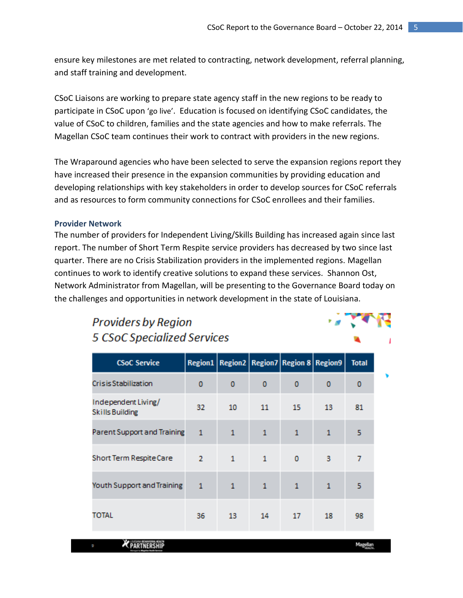ensure key milestones are met related to contracting, network development, referral planning, and staff training and development.

CSoC Liaisons are working to prepare state agency staff in the new regions to be ready to participate in CSoC upon 'go live'. Education is focused on identifying CSoC candidates, the value of CSoC to children, families and the state agencies and how to make referrals. The Magellan CSoC team continues their work to contract with providers in the new regions.

The Wraparound agencies who have been selected to serve the expansion regions report they have increased their presence in the expansion communities by providing education and developing relationships with key stakeholders in order to develop sources for CSoC referrals and as resources to form community connections for CSoC enrollees and their families.

### **Provider Network**

The number of providers for Independent Living/Skills Building has increased again since last report. The number of Short Term Respite service providers has decreased by two since last quarter. There are no Crisis Stabilization providers in the implemented regions. Magellan continues to work to identify creative solutions to expand these services. Shannon Ost, Network Administrator from Magellan, will be presenting to the Governance Board today on the challenges and opportunities in network development in the state of Louisiana.

## **Providers by Region 5 CSoC Specialized Services**

| <b>CSoC Service</b>                           |                |              |              | Region1   Region2   Region7   Region 8   Region9 |              | <b>Total</b> |
|-----------------------------------------------|----------------|--------------|--------------|--------------------------------------------------|--------------|--------------|
| Crisis Stabilization                          | 0              | 0            | 0            | 0                                                | 0            | 0            |
| Independent Living/<br><b>Skills Building</b> | 32             | 10           | 11           | 15                                               | 13           | 81           |
| Parent Support and Training                   | $\mathbf{1}$   | $\mathbf{1}$ | $\mathbf{1}$ | $\mathbf{1}$                                     | $\mathbf{1}$ | 5            |
| Short Term Respite Care                       | $\mathbf{2}$   | $\mathbf{1}$ | $\mathbf{1}$ | $\bf{0}$                                         | 3            | 7            |
| Youth Support and Training                    | $\overline{1}$ | 1            | $\mathbf{1}$ | $\mathbf{1}$                                     | 1            | 5            |
| TOTAL                                         | 36             | 13           | 14           | 17                                               | 18           | 98           |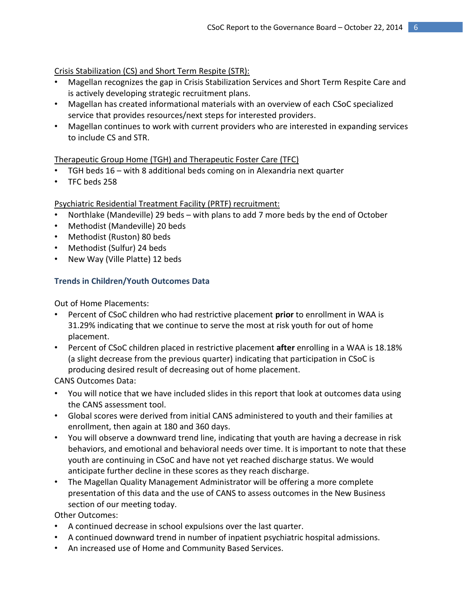Crisis Stabilization (CS) and Short Term Respite (STR):

- Magellan recognizes the gap in Crisis Stabilization Services and Short Term Respite Care and is actively developing strategic recruitment plans.
- Magellan has created informational materials with an overview of each CSoC specialized service that provides resources/next steps for interested providers.
- Magellan continues to work with current providers who are interested in expanding services to include CS and STR.

### Therapeutic Group Home (TGH) and Therapeutic Foster Care (TFC)

- TGH beds 16 with 8 additional beds coming on in Alexandria next quarter
- TFC beds 258

### Psychiatric Residential Treatment Facility (PRTF) recruitment:

- Northlake (Mandeville) 29 beds with plans to add 7 more beds by the end of October
- Methodist (Mandeville) 20 beds
- Methodist (Ruston) 80 beds
- Methodist (Sulfur) 24 beds
- New Way (Ville Platte) 12 beds

## **Trends in Children/Youth Outcomes Data**

Out of Home Placements:

- Percent of CSoC children who had restrictive placement **prior** to enrollment in WAA is 31.29% indicating that we continue to serve the most at risk youth for out of home placement.
- Percent of CSoC children placed in restrictive placement **after** enrolling in a WAA is 18.18% (a slight decrease from the previous quarter) indicating that participation in CSoC is producing desired result of decreasing out of home placement.

CANS Outcomes Data:

- You will notice that we have included slides in this report that look at outcomes data using the CANS assessment tool.
- Global scores were derived from initial CANS administered to youth and their families at enrollment, then again at 180 and 360 days.
- You will observe a downward trend line, indicating that youth are having a decrease in risk behaviors, and emotional and behavioral needs over time. It is important to note that these youth are continuing in CSoC and have not yet reached discharge status. We would anticipate further decline in these scores as they reach discharge.
- The Magellan Quality Management Administrator will be offering a more complete presentation of this data and the use of CANS to assess outcomes in the New Business section of our meeting today.

Other Outcomes:

- A continued decrease in school expulsions over the last quarter.
- A continued downward trend in number of inpatient psychiatric hospital admissions.
- An increased use of Home and Community Based Services.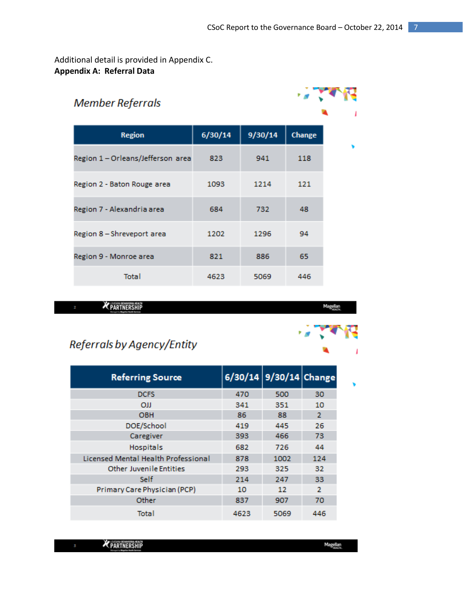## Additional detail is provided in Appendix C. **Appendix A: Referral Data**

#### **Member Referrals**  $6/30/14$ 9/30/14 Change **Region** Region 1-Orleans/Jefferson area 823 941 118 Region 2 - Baton Rouge area 1093 1214 121 Region 7 - Alexandria area 684 732 48 Region 8 - Shreveport area 1202 1296 94 Region 9 - Monroe area 886 821 65 **Total** 4623 5069 446

PARTNERSHIP

Magellan

## Referrals by Agency/Entity

| <b>Referring Source</b>             |      | 6/30/14 9/30/14 Change |                |
|-------------------------------------|------|------------------------|----------------|
| <b>DCFS</b>                         | 470  | 500                    | 30             |
| OШ                                  | 341  | 351                    | 10             |
| <b>OBH</b>                          | 86   | 88                     | $\overline{2}$ |
| DOE/School                          | 419  | 445                    | 26             |
| Caregiver                           | 393  | 466                    | 73             |
| <b>Hospitals</b>                    | 682  | 726                    | 44             |
| Licensed Mental Health Professional | 878  | 1002                   | 124            |
| <b>Other Juvenile Entities</b>      | 293  | 325                    | 32             |
| Self                                | 214  | 247                    | 33             |
| Primary Care Physician (PCP)        | 10   | 12                     | 2              |
| Other                               | 837  | 907                    | 70             |
| <b>Total</b>                        | 4623 | 5069                   | 446            |

| PARTNERSHIP<br><b>The Company of the Company</b><br><b>CONTRACTOR</b> | Ma<br><b>The State</b><br>PALATE. |
|-----------------------------------------------------------------------|-----------------------------------|
|                                                                       |                                   |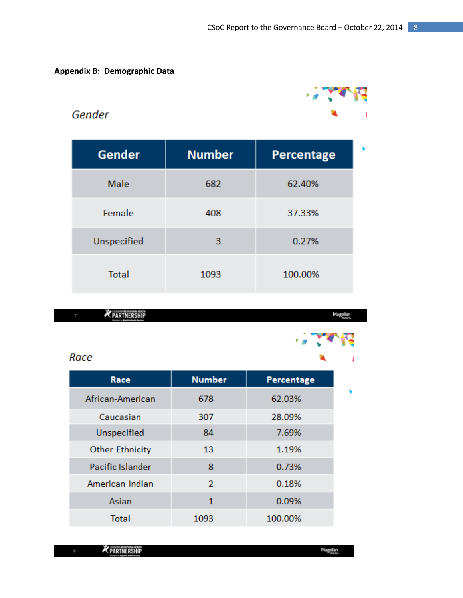. . . <del>.</del>

1

v

## **Appendix B: Demographic Data**

## Gender

| <b>Gender</b> | <b>Number</b> | Percentage |
|---------------|---------------|------------|
| Male          | 682           | 62.40%     |
| Female        | 408           | 37.33%     |
| Unspecified   | 3             | 0.27%      |
| <b>Total</b>  | 1093          | 100.00%    |

PARTNERSHIP

Magellan<br>Kabupatèn

f,

## Race

| Race                   | <b>Number</b>  | Percentage |  |
|------------------------|----------------|------------|--|
| African-American       | 678            | 62.03%     |  |
| Caucasian              | 307            | 28.09%     |  |
| <b>Unspecified</b>     | 84             | 7.69%      |  |
| <b>Other Ethnicity</b> | 13             | 1.19%      |  |
| Pacific Islander       | 8              | 0.73%      |  |
| American Indian        | $\overline{2}$ | 0.18%      |  |
| Asian                  | 1              | 0.09%      |  |
| <b>Total</b>           | 1093           | 100.00%    |  |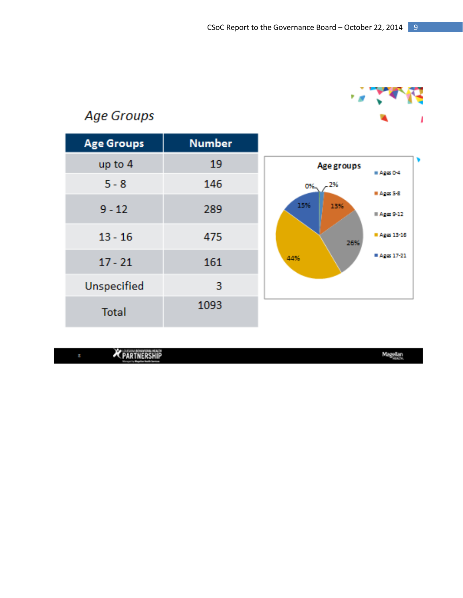

# Age Groups

| <b>Age Groups</b>  | <b>Number</b> |                                       |
|--------------------|---------------|---------------------------------------|
| up to 4            | 19            | Age groups<br>$M = A$ ges 0-4         |
| $5 - 8$            | 146           | .2%<br>O%.                            |
| $9 - 12$           | 289           | Ages 5-8<br>15%<br>13%<br>$Age: 9-12$ |
| $13 - 16$          | 475           | Ages 13-16<br>26%                     |
| $17 - 21$          | 161           | $A2(\alpha 17-21)$<br>44%             |
| <b>Unspecified</b> | 3             |                                       |
| <b>Total</b>       | 1093          |                                       |

**X** PARTNERSHIP

Magellan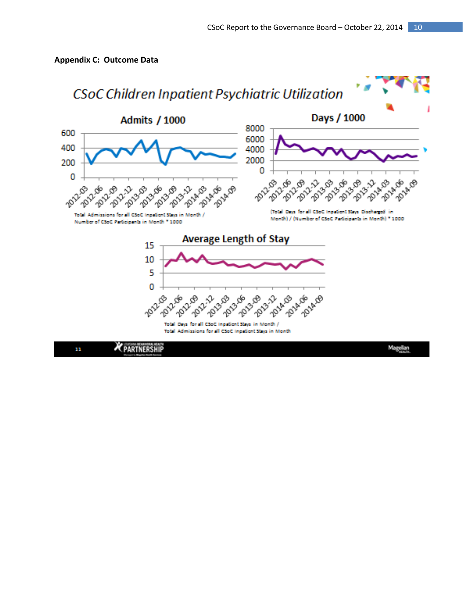

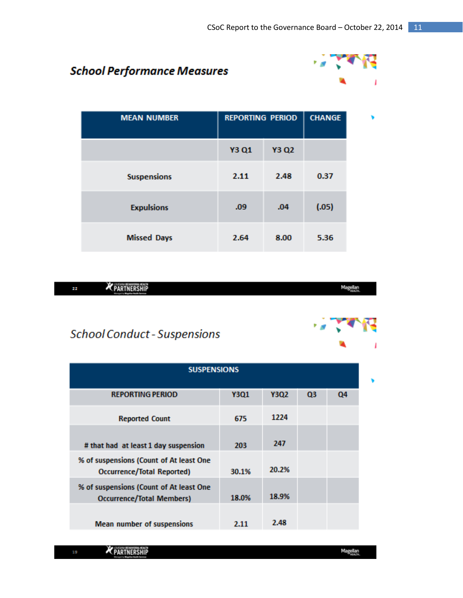## **School Performance Measures**



| <b>MEAN NUMBER</b> | <b>REPORTING PERIOD</b> |              | <b>CHANGE</b> |  |
|--------------------|-------------------------|--------------|---------------|--|
|                    | <b>Y3 Q1</b>            | <b>Y3 Q2</b> |               |  |
| <b>Suspensions</b> | 2.11                    | 2.48         | 0.37          |  |
| <b>Expulsions</b>  | .09                     | .04          | (.05)         |  |
| <b>Missed Days</b> | 2.64                    | 8.00         | 5.36          |  |

| <br><b>K</b> PARTNERSHIP<br>-- | <b>Million</b><br><b>THE REAL PROPERTY</b> |
|--------------------------------|--------------------------------------------|

## **School Conduct - Suspensions**

| <b>SUSPENSIONS</b>                                                           |       |       |    |    |  |
|------------------------------------------------------------------------------|-------|-------|----|----|--|
| <b>REPORTING PERIOD</b>                                                      | Y3Q1  | Y3Q2  | Q3 | Q4 |  |
| <b>Reported Count</b>                                                        | 675   | 1224  |    |    |  |
| # that had at least 1 day suspension                                         | 203   | 247   |    |    |  |
| % of suspensions (Count of At least One<br><b>Occurrence/Total Reported)</b> | 30.1% | 20.2% |    |    |  |
| % of suspensions (Count of At least One<br><b>Occurrence/Total Members)</b>  | 18.0% | 18.9% |    |    |  |
| <b>Mean number of suspensions</b>                                            | 2.11  | 2.48  |    |    |  |

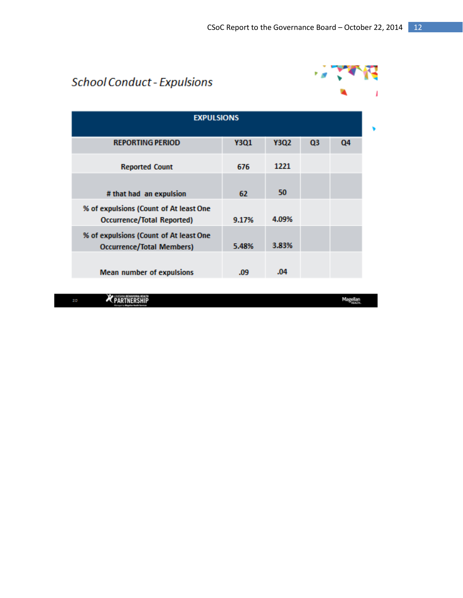# **School Conduct - Expulsions**



| <b>EXPULSIONS</b>                                                           |             |       |    |    |  |
|-----------------------------------------------------------------------------|-------------|-------|----|----|--|
| <b>REPORTING PERIOD</b>                                                     | <b>Y3Q1</b> | Y3Q2  | Q3 | Q4 |  |
| <b>Reported Count</b>                                                       | 676         | 1221  |    |    |  |
| # that had an expulsion                                                     | 62          | 50    |    |    |  |
| % of expulsions (Count of At least One<br><b>Occurrence/Total Reported)</b> | 9.17%       | 4.09% |    |    |  |
| % of expulsions (Count of At least One<br><b>Occurrence/Total Members)</b>  | 5.48%       | 3.83% |    |    |  |
| <b>Mean number of expulsions</b>                                            | .09         | .04   |    |    |  |

**X** PARTNERSHIP

Magellan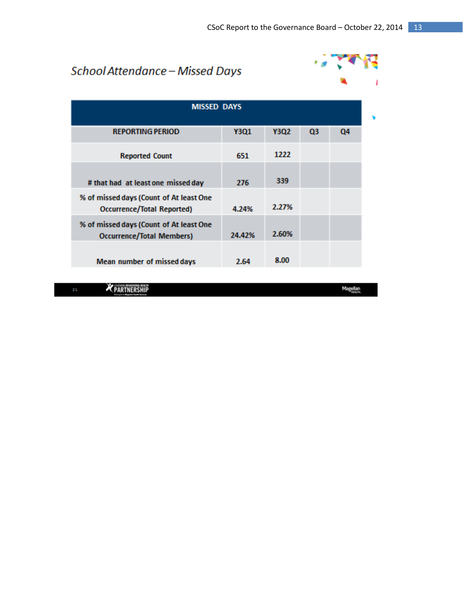# School Attendance - Missed Days



| <b>MISSED DAYS</b>                                                          |        |       |                |    |  |
|-----------------------------------------------------------------------------|--------|-------|----------------|----|--|
| <b>REPORTING PERIOD</b>                                                     | Y3O1   | Y3Q2  | Q <sub>3</sub> | Q4 |  |
| <b>Reported Count</b>                                                       | 651    | 1222  |                |    |  |
| # that had at least one missed day                                          | 276    | 339   |                |    |  |
| % of missed days (Count of At least One<br>Occurrence/Total Reported)       | 4.24%  | 2.27% |                |    |  |
| % of missed days (Count of At least One<br><b>Occurrence/Total Members)</b> | 24.42% | 2.60% |                |    |  |
| Mean number of missed days                                                  | 2.64   | 8.00  |                |    |  |

PARTNERSHIP

Magellan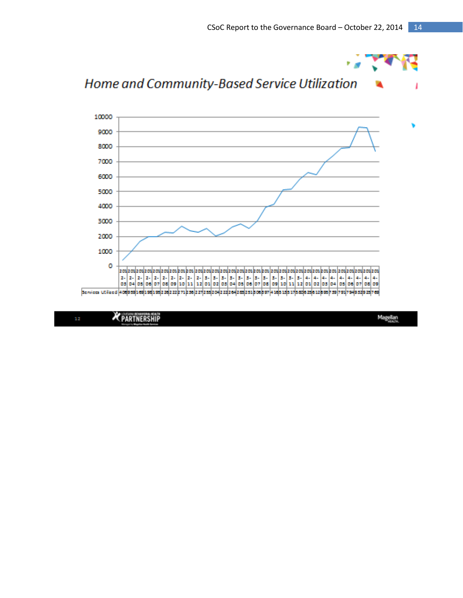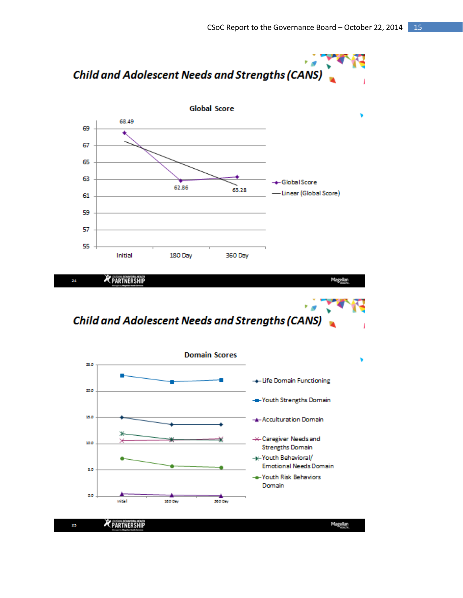